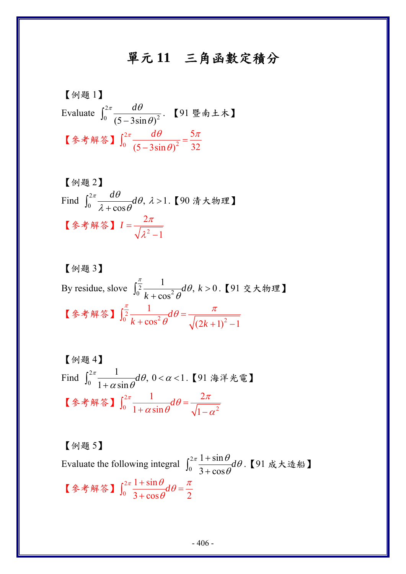## 單元 **11** 三角函數定積分

$$
[ó] = \n \n Evaluate  $\int_0^{2\pi} \frac{d\theta}{(5 - 3\sin \theta)^2}$ . \n  $\left[91 \frac{8}{3} \pm \frac{1}{2}\right]$ \n
$$
\n
$$
[6 * 6]  $\int_0^{2\pi} \frac{d\theta}{(5 - 3\sin \theta)^2} = \frac{5\pi}{32}$
$$

[例ؤ2]  
Find 
$$
\int_0^{2\pi} \frac{d\theta}{\lambda + \cos \theta} d\theta
$$
,  $\lambda > 1$ . [90 洴大物理]  
[多者解等]  $I = \frac{2\pi}{\sqrt{\lambda^2 - 1}}$ 

[
$$
\text{[$\theta$] } 3 \text{]}
$$

\nBy residue, 
$$
\text{Solve } \int_{0}^{\frac{\pi}{2}} \frac{1}{k + \cos^{2} \theta} d\theta, \, k > 0.
$$

\n[
$$
\text{[9] } \tilde{\text{[1]}} \times \text{[1]} \times \text{[1]} \times \text{[1]} \times \text{[1]} \times \text{[1]} \times \text{[1]} \times \text{[1]} \times \text{[1]} \times \text{[1]} \times \text{[1]} \times \text{[1]} \times \text{[1]} \times \text{[1]} \times \text{[1]} \times \text{[1]} \times \text{[1]} \times \text{[1]} \times \text{[1]} \times \text{[1]} \times \text{[1]} \times \text{[1]} \times \text{[1]} \times \text{[1]} \times \text{[1]} \times \text{[1]} \times \text{[1]} \times \text{[1]} \times \text{[1]} \times \text{[1]} \times \text{[1]} \times \text{[1]} \times \text{[1]} \times \text{[1]} \times \text{[1]} \times \text{[1]} \times \text{[1]} \times \text{[1]} \times \text{[1]} \times \text{[1]} \times \text{[1]} \times \text{[1]} \times \text{[1]} \times \text{[1]} \times \text{[1]} \times \text{[1]} \times \text{[1]} \times \text{[1]} \times \text{[1]} \times \text{[1]} \times \text{[1]} \times \text{[1]} \times \text{[1]} \times \text{[1]} \times \text{[1]} \times \text{[1]} \times \text{[1]} \times \text{[1]} \times \text{[1]} \times \text{[1]} \times \text{[1]} \times \text{[1]} \times \text{[1]} \times \text{[1]} \times \text{[1]} \times \text{[1]} \times \text{[1]} \times \text{[1]} \times \text{[1]} \times \text{[1]} \times \text{[1]} \times \text{[1]} \times \text{[1]} \times \text{[1]} \times \text{[1]} \times \text{[1]} \times \text{[1]} \times \text{[1]} \times \text{[1]} \times \text{[1]} \times \text{[1]} \times \text{[1]} \times \
$$

\n
$$
\left[ \text{MH} \left( \int_{0}^{2\pi} \frac{1}{1 + \alpha \sin \theta} \, d\theta, \, 0 < \alpha < 1. \right] \right]
$$
\n

\n\n $\left[ \text{MH} \left( \int_{0}^{2\pi} \frac{1}{1 + \alpha \sin \theta} \, d\theta \right] = \frac{2\pi}{\sqrt{1 - \alpha^2}} \right]$ \n

【例題 5】 Evaluate the following integral  $\int_0^2$  $1 + \sin$  $3 + cos$  $\frac{\pi}{2} \frac{1 + \sin \theta}{\theta} d\theta$ θ +  $\int_0^{\frac{2\pi}{3} + \frac{1+3\pi\upsilon}{3+\cos\theta}} d\theta$ . 【91 成大造船】 【参考解答】 $\int_0^2$  $1 + \sin$  $3 + \cos \theta$  2  $\int_0^{\pi} \frac{1+\sin\theta}{\cos\theta} d\theta = \frac{\pi}{2}$  $\int_0^{2\pi} \frac{1+\sin\theta}{3+\cos\theta} d\theta =$